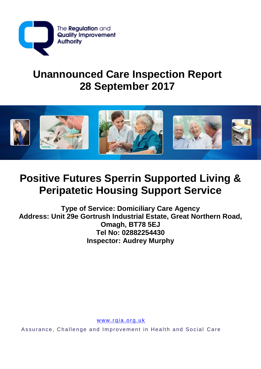

# **Unannounced Care Inspection Report 28 September 2017**



# **Positive Futures Sperrin Supported Living & Peripatetic Housing Support Service**

**Type of Service: Domiciliary Care Agency Address: Unit 29e Gortrush Industrial Estate, Great Northern Road, Omagh, BT78 5EJ Tel No: 02882254430 Inspector: Audrey Murphy**

www.rqia.org.uk

Assurance, Challenge and Improvement in Health and Social Care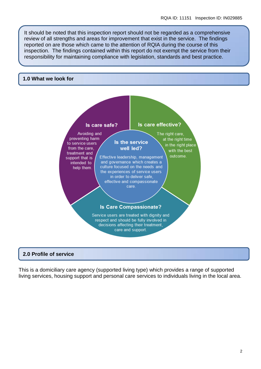It should be noted that this inspection report should not be regarded as a comprehensive review of all strengths and areas for improvement that exist in the service. The findings reported on are those which came to the attention of RQIA during the course of this inspection. The findings contained within this report do not exempt the service from their responsibility for maintaining compliance with legislation, standards and best practice.

#### **1.0 What we look for**



### **2.0 Profile of service**

This is a domiciliary care agency (supported living type) which provides a range of supported living services, housing support and personal care services to individuals living in the local area.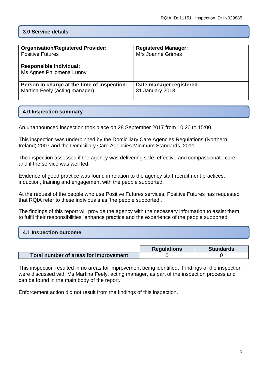# **3.0 Service details**

| <b>Organisation/Registered Provider:</b><br><b>Positive Futures</b><br><b>Responsible Individual:</b><br>Ms Agnes Philomena Lunny | <b>Registered Manager:</b><br><b>Mrs Joanne Grimes</b> |
|-----------------------------------------------------------------------------------------------------------------------------------|--------------------------------------------------------|
| Person in charge at the time of inspection:                                                                                       | Date manager registered:                               |
| Martina Feely (acting manager)                                                                                                    | 31 January 2013                                        |

## **4.0 Inspection summary**

An unannounced inspection took place on 28 September 2017 from 10.20 to 15:00.

This inspection was underpinned by the Domiciliary Care Agencies Regulations (Northern Ireland) 2007 and the Domiciliary Care Agencies Minimum Standards, 2011.

The inspection assessed if the agency was delivering safe, effective and compassionate care and if the service was well led.

Evidence of good practice was found in relation to the agency staff recruitment practices, induction, training and engagement with the people supported.

At the request of the people who use Positive Futures services, Positive Futures has requested that RQIA refer to these individuals as 'the people supported'.

The findings of this report will provide the agency with the necessary information to assist them to fulfil their responsibilities, enhance practice and the experience of the people supported.

## **4.1 Inspection outcome**

|                                       | <b>Requlations</b> | <b>Standards</b> |
|---------------------------------------|--------------------|------------------|
| Total number of areas for improvement |                    |                  |

This inspection resulted in no areas for improvement being identified. Findings of the inspection were discussed with Ms Martina Feely, acting manager, as part of the inspection process and can be found in the main body of the report.

Enforcement action did not result from the findings of this inspection.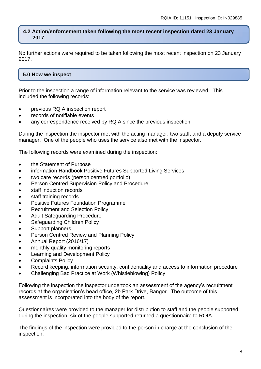#### **4.2 Action/enforcement taken following the most recent inspection dated 23 January 2017**

No further actions were required to be taken following the most recent inspection on 23 January 2017.

# **5.0 How we inspect**

Prior to the inspection a range of information relevant to the service was reviewed. This included the following records:

- previous RQIA inspection report
- records of notifiable events
- any correspondence received by RQIA since the previous inspection

During the inspection the inspector met with the acting manager, two staff, and a deputy service manager. One of the people who uses the service also met with the inspector.

The following records were examined during the inspection:

- the Statement of Purpose
- information Handbook Positive Futures Supported Living Services
- two care records (person centred portfolio)
- Person Centred Supervision Policy and Procedure
- staff induction records
- staff training records
- Positive Futures Foundation Programme
- Recruitment and Selection Policy
- Adult Safeguarding Procedure
- Safeguarding Children Policy
- Support planners
- Person Centred Review and Planning Policy
- Annual Report (2016/17)
- monthly quality monitoring reports
- **•** Learning and Development Policy
- Complaints Policy
- Record keeping, information security, confidentiality and access to information procedure
- Challenging Bad Practice at Work (Whistleblowing) Policy

Following the inspection the inspector undertook an assessment of the agency's recruitment records at the organisation's head office, 2b Park Drive, Bangor. The outcome of this assessment is incorporated into the body of the report.

Questionnaires were provided to the manager for distribution to staff and the people supported during the inspection; six of the people supported returned a questionnaire to RQIA.

The findings of the inspection were provided to the person in charge at the conclusion of the inspection.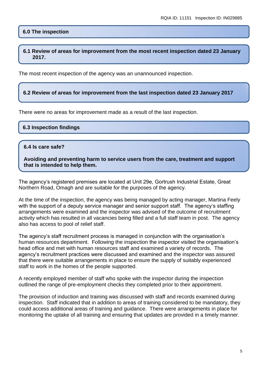### **6.0 The inspection**

**6.1 Review of areas for improvement from the most recent inspection dated 23 January 2017.**

The most recent inspection of the agency was an unannounced inspection.

#### **6.2 Review of areas for improvement from the last inspection dated 23 January 2017**

There were no areas for improvement made as a result of the last inspection.

#### **6.3 Inspection findings**

#### **6.4 Is care safe?**

**Avoiding and preventing harm to service users from the care, treatment and support that is intended to help them.**

The agency's registered premises are located at Unit 29e, Gortrush Industrial Estate, Great Northern Road, Omagh and are suitable for the purposes of the agency.

At the time of the inspection, the agency was being managed by acting manager, Martina Feely with the support of a deputy service manager and senior support staff. The agency's staffing arrangements were examined and the inspector was advised of the outcome of recruitment activity which has resulted in all vacancies being filled and a full staff team in post. The agency also has access to pool of relief staff.

The agency's staff recruitment process is managed in conjunction with the organisation's human resources department. Following the inspection the inspector visited the organisation's head office and met with human resources staff and examined a variety of records. The agency's recruitment practices were discussed and examined and the inspector was assured that there were suitable arrangements in place to ensure the supply of suitably experienced staff to work in the homes of the people supported.

A recently employed member of staff who spoke with the inspector during the inspection outlined the range of pre-employment checks they completed prior to their appointment.

The provision of induction and training was discussed with staff and records examined during inspection. Staff indicated that in addition to areas of training considered to be mandatory, they could access additional areas of training and guidance. There were arrangements in place for monitoring the uptake of all training and ensuring that updates are provided in a timely manner.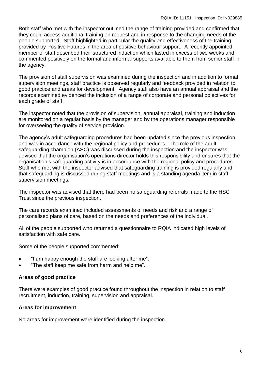Both staff who met with the inspector outlined the range of training provided and confirmed that they could access additional training on request and in response to the changing needs of the people supported. Staff highlighted in particular the quality and effectiveness of the training provided by Positive Futures in the area of positive behaviour support. A recently appointed member of staff described their structured induction which lasted in excess of two weeks and commented positively on the formal and informal supports available to them from senior staff in the agency.

The provision of staff supervision was examined during the inspection and in addition to formal supervision meetings, staff practice is observed regularly and feedback provided in relation to good practice and areas for development. Agency staff also have an annual appraisal and the records examined evidenced the inclusion of a range of corporate and personal objectives for each grade of staff.

The inspector noted that the provision of supervision, annual appraisal, training and induction are monitored on a regular basis by the manager and by the operations manager responsible for overseeing the quality of service provision.

The agency's adult safeguarding procedures had been updated since the previous inspection and was in accordance with the regional policy and procedures. The role of the adult safeguarding champion (ASC) was discussed during the inspection and the inspector was advised that the organisation's operations director holds this responsibility and ensures that the organisation's safeguarding activity is in accordance with the regional policy and procedures. Staff who met with the inspector advised that safeguarding training is provided regularly and that safeguarding is discussed during staff meetings and is a standing agenda item in staff supervision meetings.

The inspector was advised that there had been no safeguarding referrals made to the HSC Trust since the previous inspection.

The care records examined included assessments of needs and risk and a range of personalised plans of care, based on the needs and preferences of the individual.

All of the people supported who returned a questionnaire to RQIA indicated high levels of satisfaction with safe care.

Some of the people supported commented:

- "I am happy enough the staff are looking after me".
- "The staff keep me safe from harm and help me".

## **Areas of good practice**

There were examples of good practice found throughout the inspection in relation to staff recruitment, induction, training, supervision and appraisal.

### **Areas for improvement**

No areas for improvement were identified during the inspection.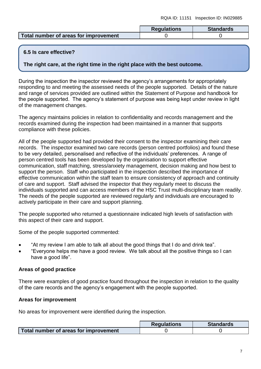|                                       | <b>Regulations</b> | <b>Standards</b> |
|---------------------------------------|--------------------|------------------|
| Total number of areas for improvement |                    |                  |

## **6.5 Is care effective?**

**The right care, at the right time in the right place with the best outcome.**

During the inspection the inspector reviewed the agency's arrangements for appropriately responding to and meeting the assessed needs of the people supported. Details of the nature and range of services provided are outlined within the Statement of Purpose and handbook for the people supported. The agency's statement of purpose was being kept under review in light of the management changes.

The agency maintains policies in relation to confidentiality and records management and the records examined during the inspection had been maintained in a manner that supports compliance with these policies.

All of the people supported had provided their consent to the inspector examining their care records. The inspector examined two care records (person centred portfolios) and found these to be very detailed, personalised and reflective of the individuals' preferences. A range of person centred tools has been developed by the organisation to support effective communication, staff matching, stress/anxiety management, decision making and how best to support the person. Staff who participated in the inspection described the importance of effective communication within the staff team to ensure consistency of approach and continuity of care and support. Staff advised the inspector that they regularly meet to discuss the individuals supported and can access members of the HSC Trust multi-disciplinary team readily. The needs of the people supported are reviewed regularly and individuals are encouraged to actively participate in their care and support planning.

The people supported who returned a questionnaire indicated high levels of satisfaction with this aspect of their care and support.

Some of the people supported commented:

- "At my review I am able to talk all about the good things that I do and drink tea".
- "Everyone helps me have a good review. We talk about all the positive things so I can have a good life".

## **Areas of good practice**

There were examples of good practice found throughout the inspection in relation to the quality of the care records and the agency's engagement with the people supported.

## **Areas for improvement**

No areas for improvement were identified during the inspection.

|                                       | <b>Regulations</b> | <b>Standards</b> |
|---------------------------------------|--------------------|------------------|
| Total number of areas for improvement |                    |                  |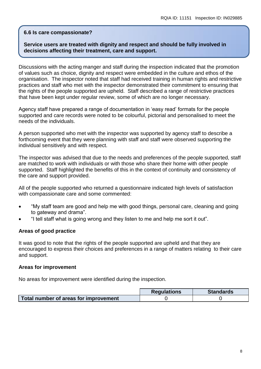### **6.6 Is care compassionate?**

## **Service users are treated with dignity and respect and should be fully involved in decisions affecting their treatment, care and support.**

Discussions with the acting manger and staff during the inspection indicated that the promotion of values such as choice, dignity and respect were embedded in the culture and ethos of the organisation. The inspector noted that staff had received training in human rights and restrictive practices and staff who met with the inspector demonstrated their commitment to ensuring that the rights of the people supported are upheld. Staff described a range of restrictive practices that have been kept under regular review, some of which are no longer necessary.

Agency staff have prepared a range of documentation in 'easy read' formats for the people supported and care records were noted to be colourful, pictorial and personalised to meet the needs of the individuals.

A person supported who met with the inspector was supported by agency staff to describe a forthcoming event that they were planning with staff and staff were observed supporting the individual sensitively and with respect.

The inspector was advised that due to the needs and preferences of the people supported, staff are matched to work with individuals or with those who share their home with other people supported. Staff highlighted the benefits of this in the context of continuity and consistency of the care and support provided.

All of the people supported who returned a questionnaire indicated high levels of satisfaction with compassionate care and some commented:

- "My staff team are good and help me with good things, personal care, cleaning and going to gateway and drama".
- "I tell staff what is going wrong and they listen to me and help me sort it out".

## **Areas of good practice**

It was good to note that the rights of the people supported are upheld and that they are encouraged to express their choices and preferences in a range of matters relating to their care and support.

### **Areas for improvement**

No areas for improvement were identified during the inspection.

|                                       | <b>Regulations</b> | <b>Standards</b> |
|---------------------------------------|--------------------|------------------|
| Total number of areas for improvement |                    |                  |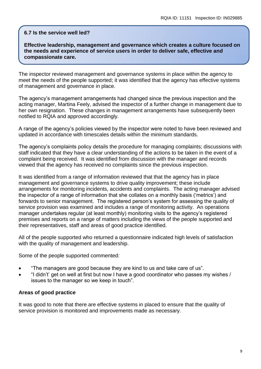#### **6.7 Is the service well led?**

**Effective leadership, management and governance which creates a culture focused on the needs and experience of service users in order to deliver safe, effective and compassionate care.**

The inspector reviewed management and governance systems in place within the agency to meet the needs of the people supported; it was identified that the agency has effective systems of management and governance in place.

The agency's management arrangements had changed since the previous inspection and the acting manager, Martina Feely, advised the inspector of a further change in management due to her own resignation. These changes in management arrangements have subsequently been notified to RQIA and approved accordingly.

A range of the agency's policies viewed by the inspector were noted to have been reviewed and updated in accordance with timescales details within the minimum standards.

The agency's complaints policy details the procedure for managing complaints; discussions with staff indicated that they have a clear understanding of the actions to be taken in the event of a complaint being received. It was identified from discussion with the manager and records viewed that the agency has received no complaints since the previous inspection.

It was identified from a range of information reviewed that that the agency has in place management and governance systems to drive quality improvement; these include arrangements for monitoring incidents, accidents and complaints. The acting manager advised the inspector of a range of information that she collates on a monthly basis ('metrics') and forwards to senior management. The registered person's system for assessing the quality of service provision was examined and includes a range of monitoring activity. An operations manager undertakes regular (at least monthly) monitoring visits to the agency's registered premises and reports on a range of matters including the views of the people supported and their representatives, staff and areas of good practice identified.

All of the people supported who returned a questionnaire indicated high levels of satisfaction with the quality of management and leadership.

Some of the people supported commented:

- "The managers are good because they are kind to us and take care of us".
- "I didn't' get on well at first but now I have a good coordinator who passes my wishes / issues to the manager so we keep in touch".

#### **Areas of good practice**

It was good to note that there are effective systems in placed to ensure that the quality of service provision is monitored and improvements made as necessary.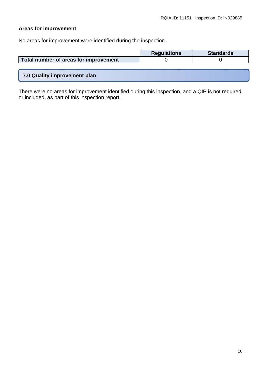# **Areas for improvement**

No areas for improvement were identified during the inspection.

|                                       | <b>Regulations</b> | <b>Standards</b> |
|---------------------------------------|--------------------|------------------|
| Total number of areas for improvement |                    |                  |
|                                       |                    |                  |
| 7.0 Quality improvement plan          |                    |                  |

There were no areas for improvement identified during this inspection, and a QIP is not required or included, as part of this inspection report.